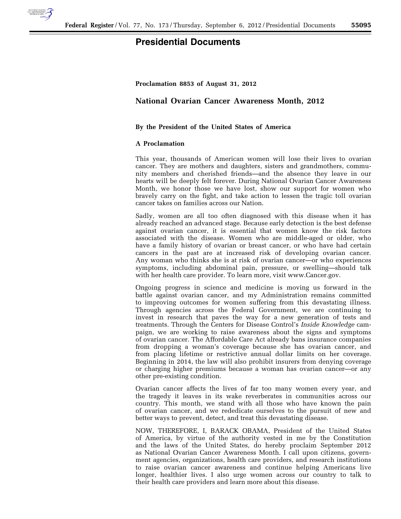

## **Presidential Documents**

**Proclamation 8853 of August 31, 2012** 

## **National Ovarian Cancer Awareness Month, 2012**

## **By the President of the United States of America**

## **A Proclamation**

This year, thousands of American women will lose their lives to ovarian cancer. They are mothers and daughters, sisters and grandmothers, community members and cherished friends—and the absence they leave in our hearts will be deeply felt forever. During National Ovarian Cancer Awareness Month, we honor those we have lost, show our support for women who bravely carry on the fight, and take action to lessen the tragic toll ovarian cancer takes on families across our Nation.

Sadly, women are all too often diagnosed with this disease when it has already reached an advanced stage. Because early detection is the best defense against ovarian cancer, it is essential that women know the risk factors associated with the disease. Women who are middle-aged or older, who have a family history of ovarian or breast cancer, or who have had certain cancers in the past are at increased risk of developing ovarian cancer. Any woman who thinks she is at risk of ovarian cancer—or who experiences symptoms, including abdominal pain, pressure, or swelling—should talk with her health care provider. To learn more, visit www.Cancer.gov.

Ongoing progress in science and medicine is moving us forward in the battle against ovarian cancer, and my Administration remains committed to improving outcomes for women suffering from this devastating illness. Through agencies across the Federal Government, we are continuing to invest in research that paves the way for a new generation of tests and treatments. Through the Centers for Disease Control's *Inside Knowledge* campaign, we are working to raise awareness about the signs and symptoms of ovarian cancer. The Affordable Care Act already bans insurance companies from dropping a woman's coverage because she has ovarian cancer, and from placing lifetime or restrictive annual dollar limits on her coverage. Beginning in 2014, the law will also prohibit insurers from denying coverage or charging higher premiums because a woman has ovarian cancer—or any other pre-existing condition.

Ovarian cancer affects the lives of far too many women every year, and the tragedy it leaves in its wake reverberates in communities across our country. This month, we stand with all those who have known the pain of ovarian cancer, and we rededicate ourselves to the pursuit of new and better ways to prevent, detect, and treat this devastating disease.

NOW, THEREFORE, I, BARACK OBAMA, President of the United States of America, by virtue of the authority vested in me by the Constitution and the laws of the United States, do hereby proclaim September 2012 as National Ovarian Cancer Awareness Month. I call upon citizens, government agencies, organizations, health care providers, and research institutions to raise ovarian cancer awareness and continue helping Americans live longer, healthier lives. I also urge women across our country to talk to their health care providers and learn more about this disease.